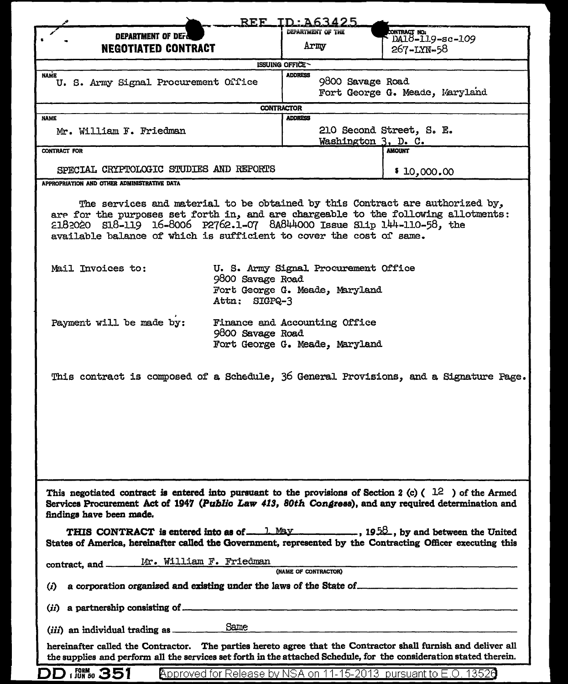| <b>REF</b><br>TD:A63425                                                                                                                                                                                                                                                                                                                                                                                                                                                 |                                                                                     |                                                                   |                                                                                       |
|-------------------------------------------------------------------------------------------------------------------------------------------------------------------------------------------------------------------------------------------------------------------------------------------------------------------------------------------------------------------------------------------------------------------------------------------------------------------------|-------------------------------------------------------------------------------------|-------------------------------------------------------------------|---------------------------------------------------------------------------------------|
| <b>DEPARTMENT OF DEF</b>                                                                                                                                                                                                                                                                                                                                                                                                                                                |                                                                                     | DEPARTMENT OF THE                                                 | CONTRACT NO.<br>DA18-119-sc-109                                                       |
| <b>NEGOTIATED CONTRACT</b>                                                                                                                                                                                                                                                                                                                                                                                                                                              |                                                                                     | Army                                                              | 267-LYN-58                                                                            |
| ISSUING OFFICE                                                                                                                                                                                                                                                                                                                                                                                                                                                          |                                                                                     |                                                                   |                                                                                       |
| <b>NAME</b><br>U. S. Army Signal Procurement Office                                                                                                                                                                                                                                                                                                                                                                                                                     |                                                                                     | <b>ADDRESS</b>                                                    | 9800 Savage Road<br>Fort George G. Meade, Maryland                                    |
| <b>CONTRACTOR</b>                                                                                                                                                                                                                                                                                                                                                                                                                                                       |                                                                                     |                                                                   |                                                                                       |
| <b>NAME</b><br>Mr. William F. Friedman                                                                                                                                                                                                                                                                                                                                                                                                                                  |                                                                                     | <b>ADDRESS</b><br>210 Second Street, S. E.<br>Washington 3, D. C. |                                                                                       |
| CONTRACT FOR                                                                                                                                                                                                                                                                                                                                                                                                                                                            |                                                                                     |                                                                   | <b>AMOUNT</b>                                                                         |
| SPECIAL CRYPTOLOGIC STUDIES AND REPORTS                                                                                                                                                                                                                                                                                                                                                                                                                                 |                                                                                     |                                                                   | \$10,000.00                                                                           |
| APPROPRIATION AND OTHER ADMINISTRATIVE DATA                                                                                                                                                                                                                                                                                                                                                                                                                             |                                                                                     |                                                                   |                                                                                       |
| The services and material to be obtained by this Contract are authorized by,<br>are for the purposes set forth in, and are chargeable to the following allotments:<br>$2182020$ $518-119$ $16-8006$ $P2762.1-07$ $8A844000$ Issue $51.1p$ $144-110-58$ , the<br>available balance of which is sufficient to cover the cost of same.<br>U. S. Army Signal Procurement Office<br>Mail Invoices to:<br>9800 Savage Road<br>Fort George G. Meade, Maryland<br>Attn: SIGPQ-3 |                                                                                     |                                                                   |                                                                                       |
| Payment will be made by:                                                                                                                                                                                                                                                                                                                                                                                                                                                | Finance and Accounting Office<br>9800 Savage Road<br>Fort George G. Meade, Maryland |                                                                   |                                                                                       |
|                                                                                                                                                                                                                                                                                                                                                                                                                                                                         |                                                                                     |                                                                   | This contract is composed of a Schedule, 36 General Provisions, and a Signature Page. |
| This negotiated contract is entered into pursuant to the provisions of Section 2 (c) ( $1.2$ ) of the Armed<br>Services Procurement Act of 1947 (Publio Law 413, 80th Congress), and any required determination and<br>findings have been made.                                                                                                                                                                                                                         |                                                                                     |                                                                   |                                                                                       |
| THIS CONTRACT is entered into as of $\frac{1 \text{ May}}{1 \cdot 2 \cdot 3}$ , by and between the United<br>States of America, hereinafter called the Government, represented by the Contracting Officer executing this                                                                                                                                                                                                                                                |                                                                                     |                                                                   |                                                                                       |
| Mr. William F. Friedman<br>contract, and -<br>(NAME OF CONTRACTOR)                                                                                                                                                                                                                                                                                                                                                                                                      |                                                                                     |                                                                   |                                                                                       |
| $\bf{r}$                                                                                                                                                                                                                                                                                                                                                                                                                                                                |                                                                                     |                                                                   |                                                                                       |
| a partnership consisting of <u>example and the set of the set of the set of the set of the set of the set of the set of the set of the set of the set of the set of the set of the set of the set of the set of the set of the s</u><br>(ii)                                                                                                                                                                                                                            |                                                                                     |                                                                   |                                                                                       |
| Same<br>( <i>iii</i> ) an individual trading as ____________                                                                                                                                                                                                                                                                                                                                                                                                            |                                                                                     |                                                                   |                                                                                       |
| hereinafter called the Contractor. The parties hereto agree that the Contractor shall furnish and deliver all<br>the supplies and perform all the services set forth in the attached Schedule, for the consideration stated therein.                                                                                                                                                                                                                                    |                                                                                     |                                                                   |                                                                                       |
| <b>FORM</b> 351                                                                                                                                                                                                                                                                                                                                                                                                                                                         |                                                                                     |                                                                   | <u>Approved for Release by NSA on 11-15-2013 pursuant to E.O. 13526</u>               |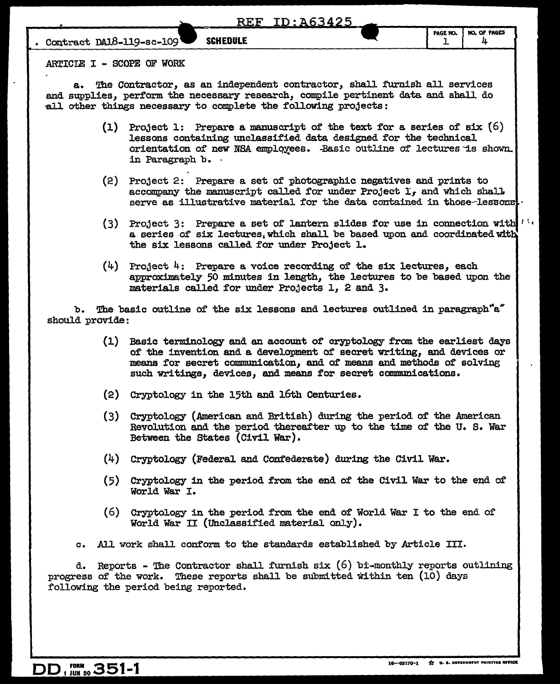#### REF ID:A63425

**Contract DA18-119-sc-109 SCHEDULE 1** 1

ARTICIE I - SCOPE OF WORK

a. The Contractor, as an independent contractor, shall furnish all services and supplies, perform the necessary research, compile pertinent data and shall do all other things necessary to complete the following projects:

- (1) Project 1: Prepare a manuscript of the text for a series of six  $(6)$ lessons containing unclassified data designed for the technical orientation of new NSA employees. .Basic outline of lectures is shown. in Paragraph b. ·
- (2) Project 2: Prepare a set of' photographic negatives and prints to accompany the manuscript called for under Project  $I<sub>f</sub>$  and which shall. serve as illustrative material for the data contained in those-lessons.
- (3) Project 3: Prepare a set of lantern slides for use in connection with  $\mathbf{l}^{1/2}$ a series of six lectures, which shall be based upon and coordinated with the six lessons called for under Project l.
- $(4)$  Project 4: Prepare a voice recording of the six lectures, each approximately 50 minutes in length, the lectures to be based upon the materials called for under Projects 1, 2 and 3.

b. The basic outline of the six lessons and lectures outlined in paragraph  $a''$ should provide:

- (1) Basic terminology and an account of cryptology from the earliest days of' the invention and a development of secret writing, and devices or means for secret commnnication, and of' means and methods of solving such writings, devices, and means for secret communications.
- (2) Cryptology in the 15th and 16th Centuries.
- $(3)$  Cryptology (American and British) during the period of the American Revolution and the period thereafter up to the time of the U.S. War Between the States (Civil War).
- (4) Cryptology (Federal and Confederate) during the Civil War.
- ( 5) Cryptology in the period from the end of the Civil War to the end of World War I.
- (6) Cryptology in the period from the end of World War I to the end of' World War II (Unclassified material only).

c. All work shall conform to the standards established by Article III.

d. Reports - The Contractor shall furnish six  $(6)$  bi-monthly reports outlining progress of' the work. These reports shall be submtted Within ten (10) days following the period being reported.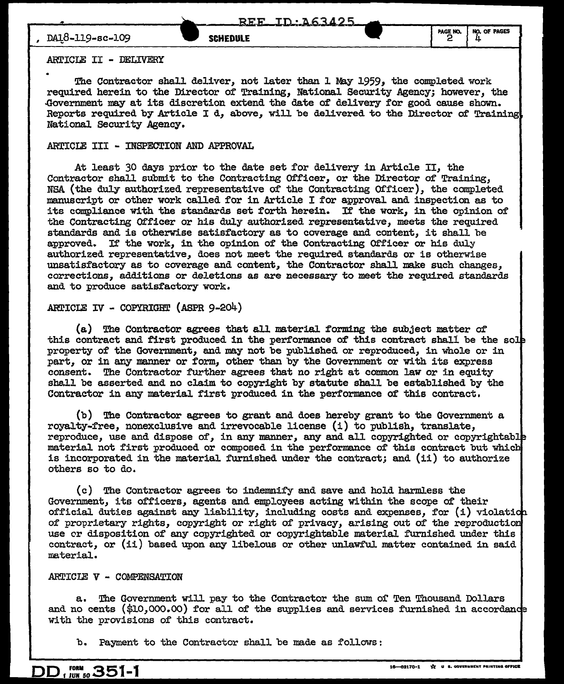### ARTICIE II - DELIVERY

The Contractor shall deliver, not later than 1 May 1959, the completed work required herein to the Director of Training, National Security Agency,; however, the -Government may at its discretion extend the date of delivery for good cause shown. Reports required by Article I d, above, will be delivered to the Director of Training National Security Agency.

## ARTICLE III - INSPECTION AND APPROVAL

At least 30 days prior to the date set for delivery in Article II, the Contractor shall submit to the Contracting Officer, or the Director of Training, NSA (the duly authorized representative of the Contracting Officer), the completed manuscript or other work called for in Article I for approval and inspection as to its compliance with the standards set forth herein. If the work, in the opinion of the Contracting Officer or his duly authorized representative, meets the required standards and is otherwise satisfactory as to coverage and content, it shall be approved. If the work, in the opinion of the Contracting Officer or his duly authorized representative, does not meet the required standards or is otherwise unsatisfactory as to coverage and content, the Contractor shall make such changes, corrections, additions or deletions as are necessary to meet the required standards and to produce satisfactory work.

### ARTICLE IV - COPYRIGHT (ASPR 9-204)

(a) The Contractor agrees that all material forming the subject matter of this contract and first produced in the performance of this contract shall be the so property of the Government, and may not be published or reproduced, in whole or in part, or in any manner or form, other than by the Government or with its express consent. The Contractor further agrees that no right at common law or in equity she.ll be asserted and no claim to copyright by statute shall be established by the Contractor in any material first produced in the performance of this contract.

(b) The Contractor agrees to grant and does hereby grant to the Government a royalty-free, nonexclusive and irrevocable license  $(1)$  to publish, translate, reproduce, use and dispose of, in any manner, any and all copyrighted or copyrightable material not first produced or composed in the performance of this contract but whic is incorporated in the material furnished under the contract; and (ii) to authorize others so to do.

( c) The Contractor agrees to indemnify and save and hold harmless the Government, its officers, agents and employees acting within the scope of their official duties against any liability, including costs and expenses, for  $(i)$  violation of proprietary rights, copyright or right of privacy, arising out of the reproduction use er disposition of any copyrighted or copyrightable material furnished under this contract, or (ii) based upon any libelous or other unlawful matter contained in said material.

# ARTICIB V - COMPENSATION

a. The Government will pay to the Contractor the sum oi' Ten Thousand Dollars and no cents  $(\$10,000.00)$  for all of the supplies and services furnished in accordance with the provisions of this contract.

b. Payment to the Contractor shall be made as follows: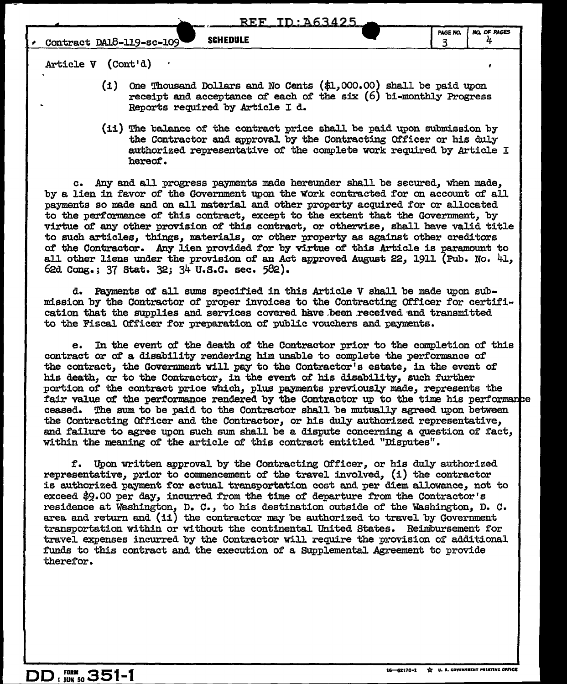Article V (Cont'd)

- $(i)$  one Thousand Dollars and No Cents  $(\text{\$1,000.00})$  shall be paid upon receipt and acceptance of each of the six  $(6)$  bi-monthly Progress Reports required by Article I d.
- (ii) The balance of the contract price shall be paid upon submission by the Contractor and approval by the Contracting Officer or his duly authorized representative of the complete work required by Article I hereof.

c. Any and all progress payments made hereunder shall be secured, when made, by a lien in favor of the Government upon the Work contracted for on account of all payments so made and on all material and other property acquired for or allocated to the performance of this contract, except to the extent that the Government, by virtue of any other provision Of this contract, or otherwise, shall have valid title to such articles, things, materials, or other property as against other creditors of the Contractor. Any lien provided for by virtue of this Article is paramount to all other liens under the provision of an Act approved August 22, 1911 (Pub. No. 41, 62d Cong.; 37 stat. 32; 34 u.s.c. sec. 582).

d. Payments of all sums specified in this Article V shall be made upon submission by the Contractor of proper invoices to the Contracting Officer for certification that the supplies and services covered have been received and transmitted to the Fiscal Officer for preparation of public vouchers and payments.

e. In the event of the death of the Contractor prior to the completion of this contract or of a disability rendering him unable to complete the performance of the contract, the Government will pay to the Contractor's estate, in the event of his death, or to the Contractor, in the event of his disability, such further portion of the contract price which, plus payments previously made, represents the fair value of the performance rendered by the Contractor up to the time his performance ceased. The sum to be paid to the Contractor shall be mutually agreed upon between the Contracting Qf'ficer and the Contractor, or his duJ.y authorized representative, and failure to agree upon such sum shall be a dispute concerning a question of fact, within the meaning of the article of this contract entitled "Disputes".

f. Upon written approval by the Contracting Officer, or his duly authorized representative, prior to commencement of the travel involved, (i) the contractor is authorized payment for actual transportation cost and per diem allowance, not to exceed  $$9.00$  per day, incurred from the time of departure from the Contractor's residence at Washington, D. c., to his destination outside of the Washington, D. c. area and return and (ii) the contractor may be authorized to travel by Government transportation within or without the continental United States. Reimbursement f'or travel expenses incurred by the Contractor will. require the provision of additional funds to this contract and the execution of a Supplemental Agreement to provide therefor.